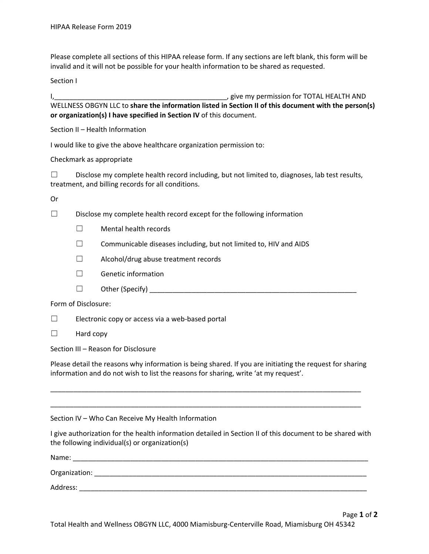Please complete all sections of this HIPAA release form. If any sections are left blank, this form will be invalid and it will not be possible for your health information to be shared as requested.

Section I

I,\_\_\_\_\_\_\_\_\_\_\_\_\_\_\_\_\_\_\_\_\_\_\_\_\_\_\_\_\_\_\_\_\_\_\_\_\_\_\_\_\_\_\_\_\_, give my permission for TOTAL HEALTH AND WELLNESS OBGYN LLC to **share the information listed in Section II of this document with the person(s) or organization(s) I have specified in Section IV** of this document.

Section II – Health Information

I would like to give the above healthcare organization permission to:

Checkmark as appropriate

 $\square$  Disclose my complete health record including, but not limited to, diagnoses, lab test results, treatment, and billing records for all conditions.

Or

☐ Disclose my complete health record except for the following information

- ☐ Mental health records
- $\Box$  Communicable diseases including, but not limited to, HIV and AIDS
- ☐ Alcohol/drug abuse treatment records
- ☐ Genetic information
- $\Box$  Other (Specify)  $\Box$

Form of Disclosure:

 $\Box$  Electronic copy or access via a web-based portal

 $\Box$  Hard copy

Section III – Reason for Disclosure

Please detail the reasons why information is being shared. If you are initiating the request for sharing information and do not wish to list the reasons for sharing, write 'at my request'.

\_\_\_\_\_\_\_\_\_\_\_\_\_\_\_\_\_\_\_\_\_\_\_\_\_\_\_\_\_\_\_\_\_\_\_\_\_\_\_\_\_\_\_\_\_\_\_\_\_\_\_\_\_\_\_\_\_\_\_\_\_\_\_\_\_\_\_\_\_\_\_\_\_\_\_\_\_\_\_\_\_

\_\_\_\_\_\_\_\_\_\_\_\_\_\_\_\_\_\_\_\_\_\_\_\_\_\_\_\_\_\_\_\_\_\_\_\_\_\_\_\_\_\_\_\_\_\_\_\_\_\_\_\_\_\_\_\_\_\_\_\_\_\_\_\_\_\_\_\_\_\_\_\_\_\_\_\_\_\_\_\_\_

Section IV – Who Can Receive My Health Information

I give authorization for the health information detailed in Section II of this document to be shared with the following individual(s) or organization(s)

| Name:         |  |
|---------------|--|
| Organization: |  |
| Address:      |  |